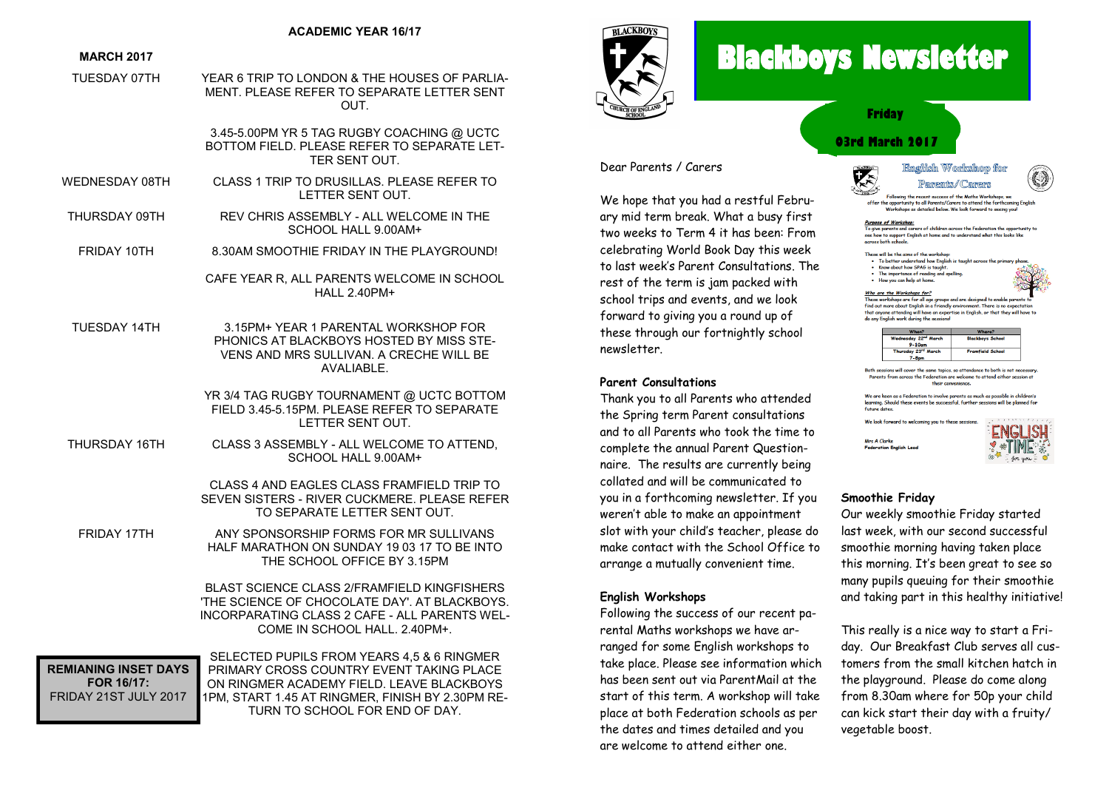#### **ACADEMIC YEAR 16/17**

#### **MARCH 2017**

TUESDAY 07TH YEAR 6 TRIP TO LONDON & THE HOUSES OF PARLIA-MENT. PLEASE REFER TO SEPARATE LETTER SENT OUT.

> 3.45-5.00PM YR 5 TAG RUGBY COACHING @ UCTC BOTTOM FIELD. PLEASE REFER TO SEPARATE LET-TER SENT OUT.

- WEDNESDAY 08TH CLASS 1 TRIP TO DRUSILLAS. PLEASE REFER TO LETTER SENT OUT.
- THURSDAY 09TH REV CHRIS ASSEMBLY ALL WELCOME IN THE SCHOOL HALL 9.00AM+
- FRIDAY 10TH 8.30AM SMOOTHIE FRIDAY IN THE PLAYGROUND!

CAFE YEAR R, ALL PARENTS WELCOME IN SCHOOL HALL 2.40PM+

TUESDAY 14TH 3.15PM+ YEAR 1 PARENTAL WORKSHOP FOR PHONICS AT BLACKBOYS HOSTED BY MISS STE-VENS AND MRS SULLIVAN. A CRECHE WILL BE AVALIABLE.

> YR 3/4 TAG RUGBY TOURNAMENT @ UCTC BOTTOM FIELD 3.45-5.15PM. PLEASE REFER TO SEPARATE LETTER SENT OUT.

THURSDAY 16TH CLASS 3 ASSEMBLY - ALL WELCOME TO ATTEND, SCHOOL HALL 9.00AM+

> CLASS 4 AND FAGLES CLASS FRAMEIELD TRIP TO SEVEN SISTERS - RIVER CUCKMERE. PLEASE REFER TO SEPARATE LETTER SENT OUT.

FRIDAY 17TH ANY SPONSORSHIP FORMS FOR MR SULLIVANS HALF MARATHON ON SUNDAY 19 03 17 TO BE INTO THE SCHOOL OFFICE BY 3.15PM

> BLAST SCIENCE CLASS 2/FRAMFIELD KINGFISHERS 'THE SCIENCE OF CHOCOLATE DAY'. AT BLACKBOYS. INCORPARATING CLASS 2 CAFE - ALL PARENTS WEL-COME IN SCHOOL HALL. 2.40PM+.

**REMIANING INSET DAYS FOR 16/17:** FRIDAY 21ST JULY 2017

SELECTED PUPILS FROM YEARS 4,5 & 6 RINGMER PRIMARY CROSS COUNTRY EVENT TAKING PLACE ON RINGMER ACADEMY FIELD. LEAVE BLACKBOYS 1PM, START 1.45 AT RINGMER, FINISH BY 2.30PM RE-TURN TO SCHOOL FOR END OF DAY.



# **Blackboys Newsletter**

医



# **03rd March 2017 Friday**



We hope that you had a restful February mid term break. What a busy first two weeks to Term 4 it has been: From celebrating World Book Day this week to last week's Parent Consultations. The rest of the term is jam packed with school trips and events, and we look forward to giving you a round up of these through our fortnightly school newsletter.

#### **Parent Consultations**

Thank you to all Parents who attended the Spring term Parent consultations and to all Parents who took the time to complete the annual Parent Questionnaire. The results are currently being collated and will be communicated to you in a forthcoming newsletter. If you weren't able to make an appointment slot with your child's teacher, please do make contact with the School Office to arrange a mutually convenient time.

### **English Workshops**

Following the success of our recent parental Maths workshops we have arranged for some English workshops to take place. Please see information which has been sent out via ParentMail at the start of this term. A workshop will take place at both Federation schools as per the dates and times detailed and you are welcome to attend either one.

# Enachish Worlsshorn for Pamemts/Camers Following the recent success of the Maths Workshops, we offer the appartunity to all Parents/Carers to attend the forthcomina English opportantly to all ratellis/caters to attenante formcomm<br>Workshops as detailed below. We look forward to seeing voll Purpose of Workshop;<br>To give parents and carers of children across the Federation the opportunity to

see how to support English at home and to understand what this looks like<br>see how to support English at home and to understand what this looks like<br>across both schools.

These will be the aims of the workshop:

- To better understand how English is taugh<br>• Know about how SPAG is taught.
- The importance of reading and spelling • How you can help at home.

Who are the Workshops for?

Who are the Workshops  $\frac{for}{10}$  compared and are designed to enable parents to These workshops are for all age groups and are designed to enable parents in find out more dout English in a friendly environment. There is n

| When?                            | Where?                  |
|----------------------------------|-------------------------|
| Wednesday 22 <sup>nd</sup> March | <b>Blackboys School</b> |
| $9-10$ am                        |                         |
| Thursday 23rd March              | <b>Framfield School</b> |
| $7-8$ pm                         |                         |

Both sessions will cover the same topics, so attendance to both is not necessary Parents from across the Federation are welcome to attend either session at their convenience

We are keen as a Federation to involve parents as much as possible in children's learning. Should these events be successful, further sessions will be planned for **Future dates** 

We look forward to welcoming you to these sessions Mar A Clarke **Federation English Lea** 



《演

# **Smoothie Friday**

Our weekly smoothie Friday started last week, with our second successful smoothie morning having taken place this morning. It's been great to see so many pupils queuing for their smoothie and taking part in this healthy initiative!

This really is a nice way to start a Friday. Our Breakfast Club serves all customers from the small kitchen hatch in the playground. Please do come along from 8.30am where for 50p your child can kick start their day with a fruity/ vegetable boost.